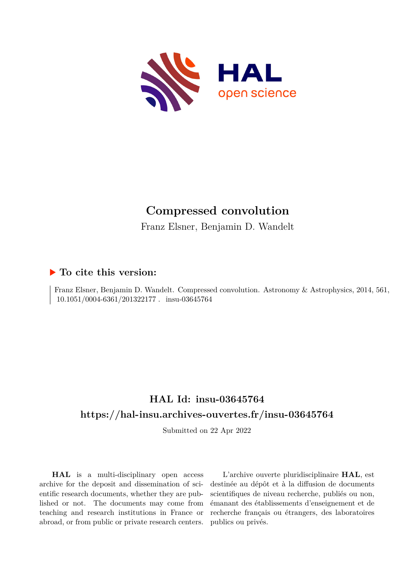

# **Compressed convolution**

Franz Elsner, Benjamin D. Wandelt

### **To cite this version:**

Franz Elsner, Benjamin D. Wandelt. Compressed convolution. Astronomy & Astrophysics, 2014, 561,  $10.1051/0004-6361/201322177$ . insu-03645764

## **HAL Id: insu-03645764 <https://hal-insu.archives-ouvertes.fr/insu-03645764>**

Submitted on 22 Apr 2022

**HAL** is a multi-disciplinary open access archive for the deposit and dissemination of scientific research documents, whether they are published or not. The documents may come from teaching and research institutions in France or abroad, or from public or private research centers.

L'archive ouverte pluridisciplinaire **HAL**, est destinée au dépôt et à la diffusion de documents scientifiques de niveau recherche, publiés ou non, émanant des établissements d'enseignement et de recherche français ou étrangers, des laboratoires publics ou privés.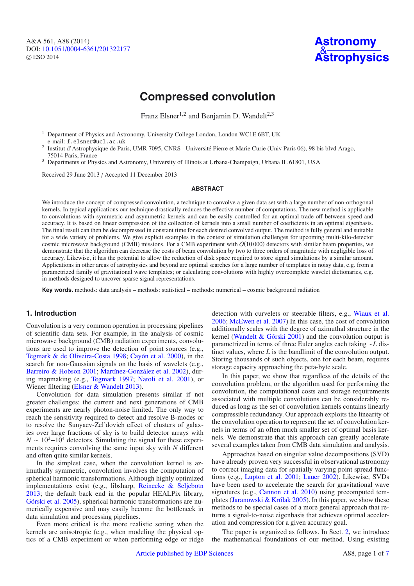A&A 561, A88 (2014) DOI: 10.1051/0004-6361/[201322177](http://dx.doi.org/10.1051/0004-6361/201322177) © ESO 2014



## **Compressed convolution**

Franz Elsner<sup>1,2</sup> and Benjamin D. Wandelt<sup>2,3</sup>

<sup>1</sup> Department of Physics and Astronomy, University College London, London WC1E 6BT, UK

e-mail: f.elsner@ucl.ac.uk<br>Institut d'Astrophysique de Paris, UMR 7095, CNRS - Université Pierre et Marie Curie (Univ Paris 06), 98 bis blvd Arago, 75014 Paris, France<br><sup>3</sup> Departments of Physics and Astronomy, University of Illinois at Urbana-Champaign, Urbana IL 61801, USA

Received 29 June 2013 / Accepted 11 December 2013

#### **ABSTRACT**

We introduce the concept of compressed convolution, a technique to convolve a given data set with a large number of non-orthogonal kernels. In typical applications our technique drastically reduces the effective number of computations. The new method is applicable to convolutions with symmetric and asymmetric kernels and can be easily controlled for an optimal trade-off between speed and accuracy. It is based on linear compression of the collection of kernels into a small number of coefficients in an optimal eigenbasis. The final result can then be decompressed in constant time for each desired convolved output. The method is fully general and suitable for a wide variety of problems. We give explicit examples in the context of simulation challenges for upcoming multi-kilo-detector cosmic microwave background (CMB) missions. For a CMB experiment with  $O(10\,000)$  detectors with similar beam properties, we demonstrate that the algorithm can decrease the costs of beam convolution by two to three orders of magnitude with negligible loss of accuracy. Likewise, it has the potential to allow the reduction of disk space required to store signal simulations by a similar amount. Applications in other areas of astrophysics and beyond are optimal searches for a large number of templates in noisy data, e.g. from a parametrized family of gravitational wave templates; or calculating convolutions with highly overcomplete wavelet dictionaries, e.g. in methods designed to uncover sparse signal representations.

**Key words.** methods: data analysis – methods: statistical – methods: numerical – cosmic background radiation

### **1. Introduction**

Convolution is a very common operation in processing pipelines of scientific data sets. For example, in the analysis of cosmic microwave background (CMB) radiation experiments, convolutions are used to improve the detection of point sources (e.g., Tegmark & de Oliveira-Costa 1998; Cayón et al. 2000), in the search for non-Gaussian signals on the basis of wavelets (e.g., Barreiro & Hobson 2001; Martínez-González et al. 2002), during mapmaking (e.g., Tegmark 1997; Natoli et al. 2001), or Wiener filtering (Elsner & Wandelt 2013).

Convolution for data simulation presents similar if not greater challenges: the current and next generations of CMB experiments are nearly photon-noise limited. The only way to reach the sensitivity required to detect and resolve B-modes or to resolve the Sunyaev-Zel'dovich effect of clusters of galaxies over large fractions of sky is to build detector arrays with  $N \sim 10^{2}-10^{4}$  detectors. Simulating the signal for these experiments requires convolving the same input sky with *N* different and often quite similar kernels.

In the simplest case, when the convolution kernel is azimuthally symmetric, convolution involves the computation of spherical harmonic transformations. Although highly optimized implementations exist (e.g., libsharp, Reinecke & Seljebotn 2013; the default back end in the popular HEALPix library, Górski et al. 2005), spherical harmonic transformations are numerically expensive and may easily become the bottleneck in data simulation and processing pipelines.

Even more critical is the more realistic setting when the kernels are anisotropic (e.g., when modeling the physical optics of a CMB experiment or when performing edge or ridge detection with curvelets or steerable filters, e.g., Wiaux et al. 2006; McEwen et al. 2007) In this case, the cost of convolution additionally scales with the degree of azimuthal structure in the kernel (Wandelt & Górski 2001) and the convolution output is parametrized in terms of three Euler angles each taking ∼*L* distinct values, where *L* is the bandlimit of the convolution output. Storing thousands of such objects, one for each beam, requires storage capacity approaching the peta-byte scale.

In this paper, we show that regardless of the details of the convolution problem, or the algorithm used for performing the convolution, the computational costs and storage requirements associated with multiple convolutions can be considerably reduced as long as the set of convolution kernels contains linearly compressible redundancy. Our approach exploits the linearity of the convolution operation to represent the set of convolution kernels in terms of an often much smaller set of optimal basis kernels. We demonstrate that this approach can greatly accelerate several examples taken from CMB data simulation and analysis.

Approaches based on singular value decompositions (SVD) have already proven very successful in observational astronomy to correct imaging data for spatially varying point spread functions (e.g., Lupton et al. 2001; Lauer 2002). Likewise, SVDs have been used to accelerate the search for gravitational wave signatures (e.g., Cannon et al. 2010) using precomputed templates (Jaranowski & Królak 2005). In this paper, we show these methods to be special cases of a more general approach that returns a signal-to-noise eigenbasis that achieves optimal acceleration and compression for a given accuracy goal.

The paper is organized as follows. In Sect. 2, we introduce the mathematical foundations of our method. Using existing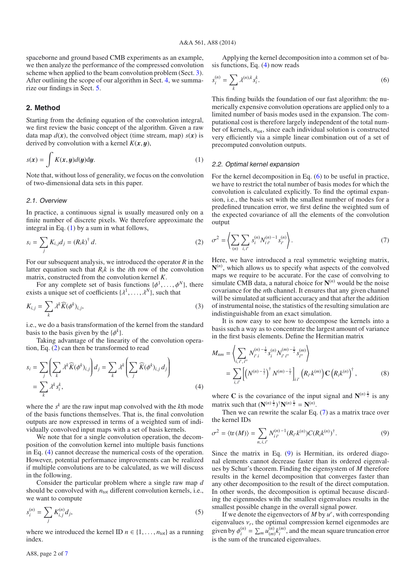spaceborne and ground based CMB experiments as an example, we then analyze the performance of the compressed convolution scheme when applied to the beam convolution problem (Sect. 3). After outlining the scope of our algorithm in Sect. 4, we summarize our findings in Sect. 5.

#### **2. Method**

Starting from the defining equation of the convolution integral, we first review the basic concept of the algorithm. Given a raw data map  $d(x)$ , the convolved object (time stream, map)  $s(x)$  is derived by convolution with a kernel  $K(x, y)$ ,

$$
s(x) = \int K(x, y)d(y)dy.
$$
 (1)

Note that, without loss of generality, we focus on the convolution of two-dimensional data sets in this paper.

#### 2.1. Overview

In practice, a continuous signal is usually measured only on a finite number of discrete pixels. We therefore approximate the integral in Eq.  $(1)$  by a sum in what follows,

$$
s_i = \sum_j K_{i,j} d_j = (R_i k)^{\dagger} d. \tag{2}
$$

For our subsequent analysis, we introduced the operator *R* in the latter equation such that  $R_i k$  is the *i*th row of the convolution matrix, constructed from the convolution kernel *K*.

For any complete set of basis functions  $\{\phi^1, \ldots, \phi^N\}$ , there exists a unique set of coefficients  $\{\lambda^1, \ldots, \lambda^N\}$ , such that

$$
K_{i,j} = \sum_{k} \lambda^{k} \widehat{K}(\phi^{k})_{i,j},
$$
\n(3)

i.e., we do a basis transformation of the kernel from the standard basis to the basis given by the  $\{\phi^k\}$ .

Taking advantage of the linearity of the convolution operation, Eq. (2) can then be transformed to read

$$
s_i = \sum_j \left( \sum_k \lambda^k \widehat{K}(\phi^k)_{i,j} \right) d_j = \sum_k \lambda^k \left( \sum_j \widehat{K}(\phi^k)_{i,j} d_j \right)
$$
  
= 
$$
\sum_k \lambda^k s_i^k,
$$
 (4)

where the *sk* are the raw input map convolved with the *k*th mode of the basis functions themselves. That is, the final convolution outputs are now expressed in terms of a weighted sum of individually convolved input maps with a set of basis kernels.

We note that for a single convolution operation, the decomposition of the convolution kernel into multiple basis functions in Eq. (4) cannot decrease the numerical costs of the operation. However, potential performance improvements can be realized if multiple convolutions are to be calculated, as we will discuss in the following.

Consider the particular problem where a single raw map *d* should be convolved with  $n_{tot}$  different convolution kernels, i.e., we want to compute

$$
s_i^{(n)} = \sum_j K_{i,j}^{(n)} d_j,
$$
\n(5)

where we introduced the kernel ID  $n \in \{1, \ldots, n_{tot}\}$  as a running index.

Applying the kernel decomposition into a common set of basis functions, Eq. (4) now reads

$$
s_i^{(n)} = \sum_k \lambda^{(n),k} s_i^k.
$$
\n
$$
(6)
$$

This finding builds the foundation of our fast algorithm: the numerically expensive convolution operations are applied only to a limited number of basis modes used in the expansion. The computational cost is therefore largely independent of the total number of kernels,  $n_{\text{tot}}$ , since each individual solution is constructed very efficiently via a simple linear combination out of a set of precomputed convolution outputs.

#### 2.2. Optimal kernel expansion

For the kernel decomposition in Eq. (6) to be useful in practice, we have to restrict the total number of basis modes for which the convolution is calculated explicitly. To find the optimal expansion, i.e., the basis set with the smallest number of modes for a predefined truncation error, we first define the weighted sum of the expected covariance of all the elements of the convolution output

$$
\sigma^2 = \left\langle \sum_{(n)} \sum_{i,i'} s_i^{(n)} N_{i\,i'}^{(n)-1} s_{i'}^{(n)} \right\rangle. \tag{7}
$$

Here, we have introduced a real symmetric weighting matrix, **N**(*n*) , which allows us to specify what aspects of the convolved maps we require to be accurate. For the case of convolving to simulate CMB data, a natural choice for  $N^{(n)}$  would be the noise covariance for the *n*th channel. It ensures that any given channel will be simulated at sufficient accuracy and that after the addition of instrumental noise, the statistics of the resulting simulation are indistinguishable from an exact simulation.

It is now easy to see how to decompose the kernels into a basis such a way as to concentrate the largest amount of variance in the first basis elements. Define the Hermitian matrix

$$
M_{nm} = \left\langle \sum_{i, i', i''} N_{i'i}^{(n) - \frac{1}{2}} s_i^{(n)} N_{i'i''}^{(m) - \frac{1}{2}} s_{i''}^{(m)} \right\rangle
$$
  
= 
$$
\sum_{i, i'} \left[ \left( N^{(n) - \frac{1}{2}} \right)^{\dagger} N^{(m) - \frac{1}{2}} \right]_{i i'} \left( R_{i'} k^{(m)} \right) \mathbf{C} \left( R_i k^{(n)} \right)^{\dagger},
$$
 (8)

where **C** is the covariance of the input signal and  $N^{(n)}\frac{1}{2}$  is any matrix such that  $(N^{(n)}^{\frac{1}{2}})^{\dagger} N^{(n)}^{\frac{1}{2}} = N^{(n)}$ .

Then we can rewrite the scalar Eq. (7) as a matrix trace over the kernel IDs

$$
\sigma^2 = \langle \text{tr}(M) \rangle = \sum_{n,i,i'} N_{ii'}^{(n)-1} (R_{i'} k^{(n)}) C (R_i k^{(n)})^\dagger. \tag{9}
$$

Since the matrix in Eq. (9) is Hermitian, its ordered diagonal elements cannot decrease faster than its ordered eigenvalues by Schur's theorem. Finding the eigensystem of *M* therefore results in the kernel decomposition that converges faster than any other decomposition to the result of the direct computation. In other words, the decomposition is optimal because discarding the eigenmodes with the smallest eigenvalues results in the smallest possible change in the overall signal power.

If we denote the eigenvectors of  $M$  by  $u^r$ , with corresponding eigenvalues  $v_r$ , the optimal compression kernel eigenmodes are given by  $\phi_i^{(n)} = \sum_m u_{(m)}^{(n)} k_i^{(m)}$ , and the mean square truncation error is the sum of the truncated eigenvalues.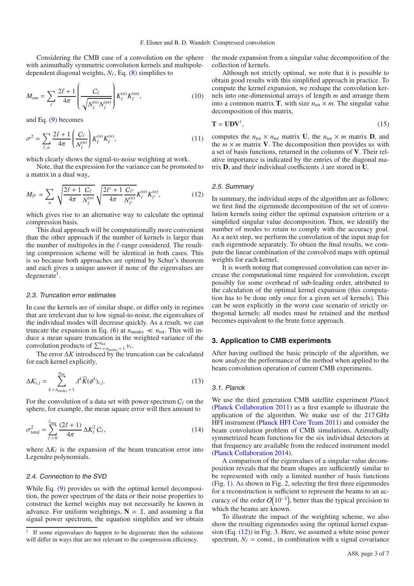Considering the CMB case of a convolution on the sphere with azimuthally symmetric convolution kernels and multipoledependent diagonal weights,  $N_{\ell}$ , Eq. (8) simplifies to

$$
M_{nm} = \sum_{\ell} \frac{2\ell + 1}{4\pi} \left( \frac{C_{\ell}}{\sqrt{N_{\ell}^{(n)} N_{\ell}^{(m)}}} \right) K_{\ell}^{(n)} K_{\ell}^{(m)}, \tag{10}
$$

and Eq. (9) becomes

$$
\sigma^2 = \sum_{\ell,n} \frac{2\ell+1}{4\pi} \left( \frac{C_\ell}{N_\ell^{(n)}} \right) K_\ell^{(n)} K_\ell^{(n)},\tag{11}
$$

which clearly shows the signal-to-noise weighting at work.

Note, that the expression for the variance can be promoted to a matrix in a dual way,

$$
M_{ll'} = \sum_{n} \sqrt{\frac{2\ell + 1}{4\pi} \frac{C_{\ell}}{N_{\ell}^{(n)}}} \sqrt{\frac{2\ell' + 1}{4\pi} \frac{C_{\ell'}}{N_{\ell'}^{(n)}}} K_{\ell}^{(n)} K_{\ell'}^{(n)},
$$
(12)

which gives rise to an alternative way to calculate the optimal compression basis.

This dual approach will be computationally more convenient than the other approach if the number of kernels is larger than the number of multipoles in the  $\ell$ -range considered. The resulting compression scheme will be identical in both cases. This is so because both approaches are optimal by Schur's theorem and each gives a unique answer if none of the eigenvalues are  $degree$ <sup>1</sup>.

#### 2.3. Truncation error estimates

In case the kernels are of similar shape, or differ only in regimes that are irrelevant due to low signal-to-noise, the eigenvalues of the individual modes will decrease quickly. As a result, we can truncate the expansion in Eq. (6) at  $n_{\text{modes}} \ll n_{\text{tot}}$ . This will induce a mean square truncation in the weighted variance of the convolution products of  $\sum_{r=n_{\text{modes}}}^{n_{\text{tot}}}$  +1  $v_r$ .

The error  $\Delta K$  introduced by the truncation can be calculated for each kernel explicitly,

$$
\Delta K_{i,j} = \sum_{k=n_{\text{modes}}}^{n_{\text{tot}}} \lambda^k \widehat{K}(\phi^k)_{i,j}.
$$
\n(13)

For the convolution of a data set with power spectrum  $C_{\ell}$  on the sphere, for example, the mean square error will then amount to

$$
\sigma_{\text{total}}^2 = \sum_{\ell=0}^{\ell_{\text{max}}} \frac{(2\ell+1)}{4\pi} \Delta K_{\ell}^2 C_{\ell},\tag{14}
$$

where  $\Delta K_{\ell}$  is the expansion of the beam truncation error into Legendre polynomials.

#### 2.4. Connection to the SVD

While Eq. (9) provides us with the optimal kernel decomposition, the power spectrum of the data or their noise properties to construct the kernel weights may not necessarily be known in advance. For uniform weightings,  $N \propto 1$ , and assuming a flat signal power spectrum, the equation simplifies and we obtain the mode expansion from a singular value decomposition of the collection of kernels.

Although not strictly optimal, we note that it is possible to obtain good results with this simplified approach in practice. To compute the kernel expansion, we reshape the convolution kernels into one-dimensional arrays of length *m* and arrange them into a common matrix **T**, with size  $n_{tot} \times m$ . The singular value decomposition of this matrix,

$$
\mathbf{T} = \mathbf{U}\mathbf{D}\mathbf{V}^{\dagger},\tag{15}
$$

computes the  $n_{\text{tot}} \times n_{\text{tot}}$  matrix **U**, the  $n_{\text{tot}} \times m$  matrix **D**, and the  $m \times m$  matrix **V**. The decomposition then provides us with a set of basis functions, returned in the columns of **V**. Their relative importance is indicated by the entries of the diagonal matrix **D**, and their individual coefficients  $\lambda$  are stored in **U**.

#### 2.5. Summary

In summary, the individual steps of the algorithm are as follows: we first find the eigenmode decomposition of the set of convolution kernels using either the optimal expansion criterion or a simplified singular value decomposition. Then, we identify the number of modes to retain to comply with the accuracy goal. As a next step, we perform the convolution of the input map for each eigenmode separately. To obtain the final results, we compute the linear combination of the convolved maps with optimal weights for each kernel.

It is worth noting that compressed convolution can never increase the computational time required for convolution, except possibly for some overhead of sub-leading order, attributed to the calculation of the optimal kernel expansion (this computation has to be done only once for a given set of kernels). This can be seen explicitly in the worst case scenario of strictly orthogonal kernels: all modes must be retained and the method becomes equivalent to the brute force approach.

#### **3. Application to CMB experiments**

After having outlined the basic principle of the algorithm, we now analyze the performance of the method when applied to the beam convolution operation of current CMB experiments.

#### 3.1. Planck

We use the third generation CMB satellite experiment *Planck* (Planck Collaboration 2011) as a first example to illustrate the application of the algorithm. We make use of the 217 GHz HFI instrument (Planck HFI Core Team 2011) and consider the beam convolution problem of CMB simulations. Azimuthally symmetrized beam functions for the six individual detectors at that frequency are available from the reduced instrument model (Planck Collaboration 2014).

A comparison of the eigenvalues of a singular value decomposition reveals that the beam shapes are sufficiently similar to be represented with only a limited number of basis functions (Fig. 1). As shown in Fig. 2, selecting the first three eigenmodes for a reconstruction is sufficient to represent the beams to an accuracy of the order  $O(10^{-3})$ , better than the typical precision to which the beams are known.

To illustrate the impact of the weighting scheme, we also show the resulting eigenmodes using the optimal kernel expansion (Eq. (12)) in Fig. 3. Here, we assumed a white noise power spectrum,  $N_{\ell}$  = const., in combination with a signal covariance

<sup>&</sup>lt;sup>1</sup> If some eigenvalues do happen to be degenerate then the solutions will differ in ways that are not relevant to the compression efficiency.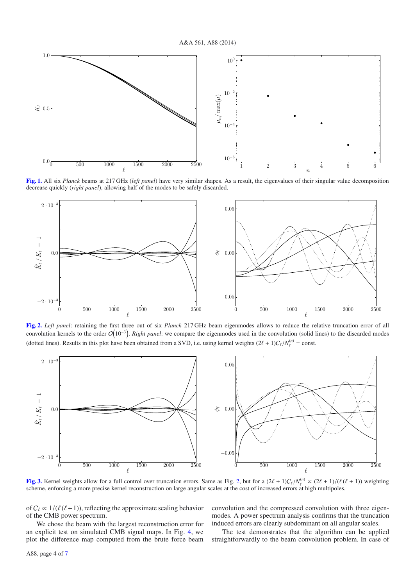A&A 561, A88 (2014)



**[Fig. 1.](http://dexter.edpsciences.org/applet.php?DOI=10.1051/0004-6361/201322177&pdf_id=1)** All six *Planck* beams at 217 GHz (*left panel*) have very similar shapes. As a result, the eigenvalues of their singular value decomposition decrease quickly (*right panel*), allowing half of the modes to be safely discarded.



**[Fig. 2.](http://dexter.edpsciences.org/applet.php?DOI=10.1051/0004-6361/201322177&pdf_id=2)** *Left panel*: retaining the first three out of six *Planck* 217 GHz beam eigenmodes allows to reduce the relative truncation error of all convolution kernels to the order  $O(10^{-3})$ . *Right panel*: we compare the eigenmodes used in the convolution (solid lines) to the discarded modes (dotted lines). Results in this plot have been obtained from a SVD, i.e. using kernel weights  $(2\ell + 1)C_{\ell}/N_{\ell}^{(n)} = \text{const.}$ 



**[Fig. 3.](http://dexter.edpsciences.org/applet.php?DOI=10.1051/0004-6361/201322177&pdf_id=3)** Kernel weights allow for a full control over truncation errors. Same as Fig. 2, but for a  $(2\ell + 1)C_{\ell}/N_{\ell}^{(n)} \propto (2\ell + 1)/(\ell(\ell + 1))$  weighting scheme, enforcing a more precise kernel reconstruction on large angular scales at the cost of increased errors at high multipoles.

of  $C_\ell \propto 1/(\ell (\ell+1))$ , reflecting the approximate scaling behavior of the CMB power spectrum.

We chose the beam with the largest reconstruction error for an explicit test on simulated CMB signal maps. In Fig. 4, we plot the difference map computed from the brute force beam convolution and the compressed convolution with three eigenmodes. A power spectrum analysis confirms that the truncation induced errors are clearly subdominant on all angular scales.

The test demonstrates that the algorithm can be applied straightforwardly to the beam convolution problem. In case of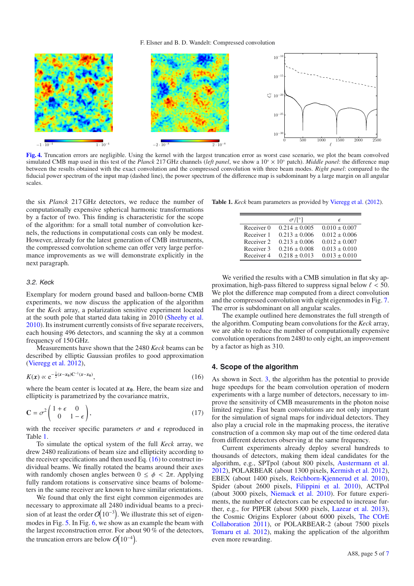

**[Fig. 4.](http://dexter.edpsciences.org/applet.php?DOI=10.1051/0004-6361/201322177&pdf_id=4)** Truncation errors are negligible. Using the kernel with the largest truncation error as worst case scenario, we plot the beam convolved simulated CMB map used in this test of the *Planck* 217 GHz channels (*left panel*, we show a 10◦ × 10◦ patch). *Middle panel*: the difference map between the results obtained with the exact convolution and the compressed convolution with three beam modes. *Right panel*: compared to the fiducial power spectrum of the input map (dashed line), the power spectrum of the difference map is subdominant by a large margin on all angular scales.

the six *Planck* 217 GHz detectors, we reduce the number of computationally expensive spherical harmonic transformations by a factor of two. This finding is characteristic for the scope of the algorithm: for a small total number of convolution kernels, the reductions in computational costs can only be modest. However, already for the latest generation of CMB instruments, the compressed convolution scheme can offer very large performance improvements as we will demonstrate explicitly in the next paragraph.

#### 3.2. Keck

Exemplary for modern ground based and balloon-borne CMB experiments, we now discuss the application of the algorithm for the *Keck* array, a polarization sensitive experiment located at the south pole that started data taking in 2010 (Sheehy et al. 2010). Its instrument currently consists of five separate receivers, each housing 496 detectors, and scanning the sky at a common frequency of 150 GHz.

Measurements have shown that the 2480 *Keck* beams can be described by elliptic Gaussian profiles to good approximation (Vieregg et al. 2012),

$$
K(x) \propto e^{-\frac{1}{2}(x-x_0)C^{-1}(x-x_0)},
$$
\n(16)

where the beam center is located at  $x_0$ . Here, the beam size and ellipticity is parametrized by the covariance matrix,

$$
\mathbf{C} = \sigma^2 \begin{pmatrix} 1 + \epsilon & 0 \\ 0 & 1 - \epsilon \end{pmatrix},\tag{17}
$$

with the receiver specific parameters  $\sigma$  and  $\epsilon$  reproduced in Table 1.

To simulate the optical system of the full *Keck* array, we drew 2480 realizations of beam size and ellipticity according to the receiver specifications and then used Eq.  $(16)$  to construct individual beams. We finally rotated the beams around their axes with randomly chosen angles between  $0 \le \phi < 2\pi$ . Applying fully random rotations is conservative since beams of bolometers in the same receiver are known to have similar orientations.

We found that only the first eight common eigenmodes are necessary to approximate all 2480 individual beams to a precision of at least the order  $O(10^{-3})$ . We illustrate this set of eigenmodes in Fig. 5. In Fig. 6, we show as an example the beam with the largest reconstruction error. For about 90 % of the detectors, the truncation errors are below  $O(10^{-4})$ .

**Table 1.** *Keck* beam parameters as provided by Vieregg et al. (2012).

|            | $\sigma/\lceil$ <sup>o</sup> ] | F                 |
|------------|--------------------------------|-------------------|
| Receiver 0 | $0.214 \pm 0.005$              | $0.010 \pm 0.007$ |
| Receiver 1 | $0.213 \pm 0.006$              | $0.012 \pm 0.006$ |
| Receiver 2 | $0.213 \pm 0.006$              | $0.012 \pm 0.007$ |
| Receiver 3 | $0.216 \pm 0.008$              | $0.013 \pm 0.010$ |
| Receiver 4 | $0.218 \pm 0.013$              | $0.013 \pm 0.010$ |

We verified the results with a CMB simulation in flat sky approximation, high-pass filtered to suppress signal below  $\ell < 50$ . We plot the difference map computed from a direct convolution and the compressed convolution with eight eigenmodes in Fig. 7. The error is subdominant on all angular scales.

The example outlined here demonstrates the full strength of the algorithm. Computing beam convolutions for the *Keck* array, we are able to reduce the number of computationally expensive convolution operations from 2480 to only eight, an improvement by a factor as high as 310.

#### **4. Scope of the algorithm**

As shown in Sect. 3, the algorithm has the potential to provide huge speedups for the beam convolution operation of modern experiments with a large number of detectors, necessary to improve the sensitivity of CMB measurements in the photon noise limited regime. Fast beam convolutions are not only important for the simulation of signal maps for individual detectors. They also play a crucial role in the mapmaking process, the iterative construction of a common sky map out of the time ordered data from different detectors observing at the same frequency.

Current experiments already deploy several hundreds to thousands of detectors, making them ideal candidates for the algorithm, e.g., SPTpol (about 800 pixels, Austermann et al. 2012), POLARBEAR (about 1300 pixels, Kermish et al. 2012), EBEX (about 1400 pixels, Reichborn-Kjennerud et al. 2010), Spider (about 2600 pixels, Filippini et al. 2010), ACTPol (about 3000 pixels, Niemack et al. 2010). For future experiments, the number of detectors can be expected to increase further, e.g., for PIPER (about 5000 pixels, Lazear et al. 2013), the Cosmic Origins Explorer (about 6000 pixels, The COrE Collaboration 2011), or POLARBEAR-2 (about 7500 pixels Tomaru et al. 2012), making the application of the algorithm even more rewarding.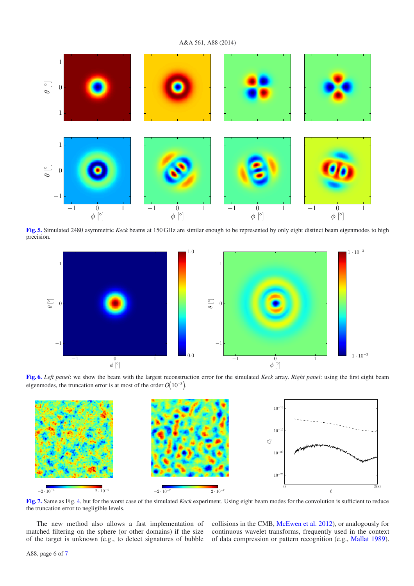A&A 561, A88 (2014)



**[Fig. 5.](http://dexter.edpsciences.org/applet.php?DOI=10.1051/0004-6361/201322177&pdf_id=5)** Simulated 2480 asymmetric *Keck* beams at 150 GHz are similar enough to be represented by only eight distinct beam eigenmodes to high precision.



**[Fig. 6.](http://dexter.edpsciences.org/applet.php?DOI=10.1051/0004-6361/201322177&pdf_id=6)** *Left panel*: we show the beam with the largest reconstruction error for the simulated *Keck* array. *Right panel*: using the first eight beam eigenmodes, the truncation error is at most of the order  $O(10^{-3})$ .



**[Fig. 7.](http://dexter.edpsciences.org/applet.php?DOI=10.1051/0004-6361/201322177&pdf_id=7)** Same as Fig. 4, but for the worst case of the simulated *Keck* experiment. Using eight beam modes for the convolution is sufficient to reduce the truncation error to negligible levels.

The new method also allows a fast implementation of matched filtering on the sphere (or other domains) if the size of the target is unknown (e.g., to detect signatures of bubble collisions in the CMB, McEwen et al. 2012), or analogously for continuous wavelet transforms, frequently used in the context of data compression or pattern recognition (e.g., Mallat 1989).